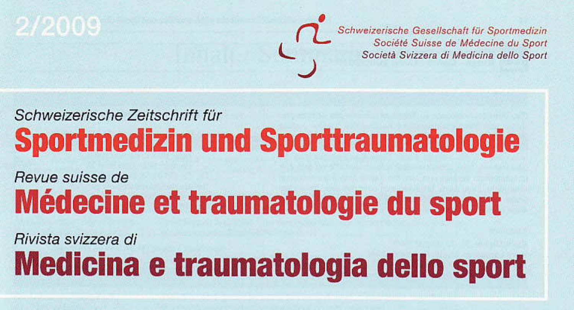

Schweizerische Gesellschaft für Sportmedizin<br>Société Suisse de Médecine du Sport<br>Società Svizzera di Medicina dello Sport

# Schweizerische Zeitschrift für **Sportmedizin und Sporttraumatologie**

Revue suisse de Médecine et traumatologie du sport

Rivista svizzera di Medicina e traumatologia dello sport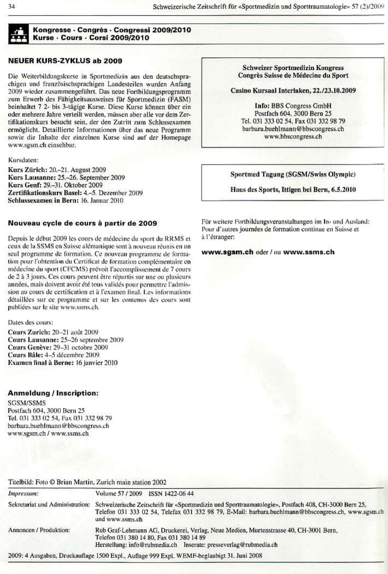

### Kongresse - Congrès - Congressi 2009/2010 Kurse · Cours · Corsi 2009/2010

## **NEUER KURS-ZYKLUS ab 2009**

Die Weiterbildungskurse in Sportmedizin aus den deutschsprachigen und französischsprachigen Landesteilen wurden Anfang 2009 wieder zusammengeführt. Das neue Fortbildungsprogramm zum Erwerb des Fähigkeitsausweises für Sportmedizin (FASM) beinhaltet 7 2- bis 3-tägige Kurse. Diese Kurse können über ein oder mehrere Jahre verteilt werden, müssen aber alle vor dem Zertifikationskurs besucht sein, der den Zutritt zum Schlussexamen ermöglicht. Detaillierte Informationen über das neue Programm sowie die Inhalte der einzelnen Kurse sind auf der Homenage www.sgsm.ch einsehbar.

Kursdaten:

Kurs Zürich: 20.-21. August 2009 Kurs Lausanne: 25.-26. September 2009 Kurs Genf: 29-31. Oktober 2009 Zertifikationskurs Basel: 4.-5. Dezember 2009 Schlussexamen in Bern: 16. Januar 2010

#### Nouveau cycle de cours à partir de 2009

Depuis le début 2009 les cours de médecine du sport du RRMS et ceux de la SSMS en Suisse alémanique sont à nouveau réunis en un seul programme de formation. Ce nouveau programme de formation pour l'obtention du Certificat de formation complémentaire en médecine du sport (CFCMS) prévoit l'accomplissement de 7 cours de 2 à 3 jours. Ces cours peuvent être répartis sur une ou plusieurs années, mais doivent avoir été tous validés pour permettre l'admission au cours de certification et à l'examen final. Les informations détaillées sur ce programme et sur les contenus des cours sont publiées sur le site www.ssms.ch.

Dates des cours:

Cours Zurich: 20-21 août 2009 Cours Lausanne: 25-26 septembre 2009 Cours Genève: 29-31 octobre 2009 Cours Bâle: 4-5 décembre 2009 Examen final à Berne: 16 janvier 2010

# **Anmeldung / Inscription:**

**SGSM/SSMS** Postfach 604, 3000 Bern 25 Tel. 031 333 02 54, Fax 031 332 98 79 barbara.buehImann@bbscongress.ch www.sgsm.ch / www.ssms.ch

**Schweizer Sportmedizin Kongress** Congrès Suisse de Médecine du Sport

Casino Kursaal Interlaken, 22./23.10.2009

**Info: BBS Congress GmbH** Postfach 604, 3000 Bern 25 Tel. 031 333 02 54, Fax 031 332 98 79 barbara.buchlmann@bbscongress.ch www.bbscongress.ch

# Sportmed Tagung (SGSM/Swiss Olympic)

Haus des Sports, Ittigen bei Bern, 6.5.2010

Für weitere Fortbildungsveranstaltungen im In- und Ausland: Pour d'autres journées de formation continue en Suisse et à l'étranger:

www.sgsm.ch oder / ou www.ssms.ch

| Titelbild: Foto © Brian Martin, Zurich main station 2002                                                                                                                                                                       |
|--------------------------------------------------------------------------------------------------------------------------------------------------------------------------------------------------------------------------------|
| Volume 57 / 2009 ISSN 1422-06 44                                                                                                                                                                                               |
| Schweizerische Zeitschrift für «Sportmedizin und Sporttraumatologie», Postfach 408, CH-3000 Bern 25,<br>Telefon 031 333 02 54, Telefax 031 332 98 79, E-Mail: barbara.buehlmann@bbscongress.ch, www.sgsm.ch<br>und www.ssms.ch |
| Rub Graf-Lehmann AG, Druckerei, Verlag, Neue Medien, Murtenstrasse 40, CH-3001 Bern,<br>Telefon 031 380 14 80, Fax 031 380 14 89<br>Herstellung: info@rubmedia.ch Inserate: presseverlag@rubmedia.ch                           |
|                                                                                                                                                                                                                                |

2009: 4 Ausgaben, Druckauflage 1500 Expl., Auflage 999 Expl. WEMF-beglaubigt 31. Juni 2008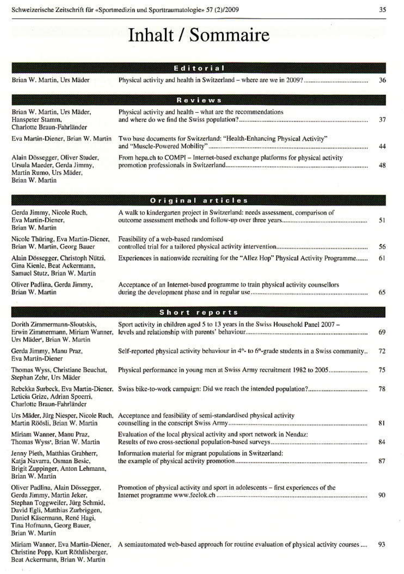# Inhalt / Sommaire

|                                                                                                                                                                                                                         | Editorial                                                                                                              |    |
|-------------------------------------------------------------------------------------------------------------------------------------------------------------------------------------------------------------------------|------------------------------------------------------------------------------------------------------------------------|----|
| Brian W. Martin, Urs Mäder                                                                                                                                                                                              |                                                                                                                        | 36 |
|                                                                                                                                                                                                                         | <b>Reviews</b>                                                                                                         |    |
| Brian W. Martin, Urs Mäder,<br>Hanspeter Stamm,<br>Charlotte Braun-Fahrländer                                                                                                                                           | Physical activity and health - what are the recommendations                                                            | 37 |
| Eva Martin-Diener, Brian W. Martin                                                                                                                                                                                      | Two base documents for Switzerland: "Health-Enhancing Physical Activity"                                               | 44 |
| Alain Dössegger, Oliver Studer,<br>Ursula Maeder, Gerda Jimmy,<br>Martin Rumo, Urs Mäder,<br>Brian W. Martin                                                                                                            | From hepa.ch to COMPI - Internet-based exchange platforms for physical activity                                        | 48 |
|                                                                                                                                                                                                                         | Original articles                                                                                                      |    |
| Gerda Jimmy, Nicole Ruch,<br>Eva Martin-Diener,<br>Brian W. Martin                                                                                                                                                      | A walk to kindergarten project in Switzerland: needs assessment, comparison of                                         | 51 |
| Nicole Thüring, Eva Martin-Diener,<br>Brian W. Martin, Georg Bauer                                                                                                                                                      | Feasibility of a web-based randomised                                                                                  | 56 |
| Alain Dössegger, Christoph Nützi,<br>Gina Kienle, Beat Ackermann,<br>Samuel Stutz, Brian W. Martin                                                                                                                      | Experiences in nationwide recruiting for the "Allez Hop" Physical Activity Programme                                   | 61 |
| Oliver Padlina, Gerda Jimmy,<br>Brian W. Martin                                                                                                                                                                         | Acceptance of an Internet-based programme to train physical activity counsellors                                       | 65 |
|                                                                                                                                                                                                                         | Short reports                                                                                                          |    |
| Dorith Zimmermann-Sloutskis,<br>Erwin Zimmermann, Miriam Wanner,<br>Urs Mäder, Brian W. Martin                                                                                                                          | Sport activity in children aged 5 to 13 years in the Swiss Household Panel 2007 -                                      | 69 |
| Gerda Jimmy, Manu Praz,<br>Eva Martin-Diener                                                                                                                                                                            | Self-reported physical activity behaviour in 4 <sup>th</sup> - to 6 <sup>th</sup> -grade students in a Swiss community | 72 |
| Thomas Wyss, Christiane Beuchat,<br>Stephan Zehr, Urs Mäder                                                                                                                                                             | Physical performance in young men at Swiss Army recruitment 1982 to 2005                                               | 75 |
| Rebekka Surbeck, Eva Martin-Diener,<br>Leticia Grize, Adrian Spoerri,<br>Charlotte Braun-Fahrländer                                                                                                                     |                                                                                                                        | 78 |
| Urs Mäder, Jürg Niesper, Nicole Ruch,<br>Martin Röösli, Brian W. Martin                                                                                                                                                 | Acceptance and feasibility of semi-standardised physical activity                                                      | 81 |
| Miriam Wanner, Manu Praz.<br>Thomas Wyss', Brian W. Martin                                                                                                                                                              | Evaluation of the local physical activity and sport network in Nendaz:                                                 | 84 |
| Jenny Pieth, Matthias Grabherr,<br>Katja Navarra, Osman Besic,<br>Brigit Zuppinger, Anton Lehmann,<br>Brian W. Martin                                                                                                   | Information material for migrant populations in Switzerland:                                                           | 87 |
| Oliver Padlina, Alain Dössegger,<br>Gerda Jimmy, Martin Jeker,<br>Stephan Toggweiler, Jürg Schmid,<br>David Egli, Matthias Zurbriggen,<br>Daniel Käsermann, René Hagi,<br>Tina Hofmann, Georg Bauer,<br>Brian W. Martin | Promotion of physical activity and sport in adolescents - first experiences of the                                     | 90 |
| Miriam Wanner, Eva Martin-Diener,<br>Christine Popp, Kurt Röthlisberger,<br>Beat Ackermann, Brian W. Martin                                                                                                             | A semiautomated web-based approach for routine evaluation of physical activity courses ,                               | 93 |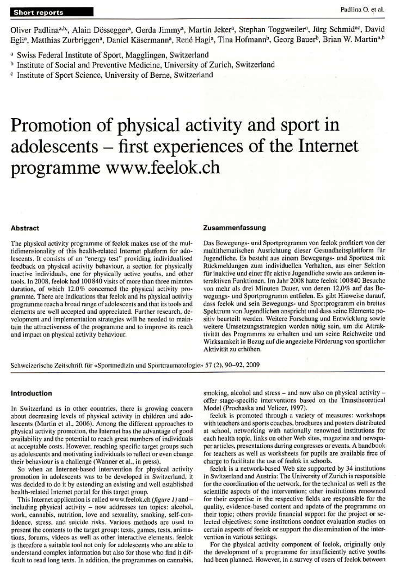Oliver Padlina<sup>a,b</sup>, Alain Dössegger<sup>a</sup>, Gerda Jimmy<sup>a</sup>, Martin Jeker<sup>a</sup>, Stephan Toggweiler<sup>a</sup>, Jürg Schmid<sup>ac</sup>, David Egli<sup>a</sup>, Matthias Zurbriggen<sup>a</sup>, Daniel Käsermann<sup>a</sup>, René Hagi<sup>a</sup>, Tina Hofmann<sup>b</sup>, Georg Bauer<sup>b</sup>, Brian W. Martin<sup>a,b</sup>

- <sup>b</sup> Institute of Social and Preventive Medicine, University of Zurich, Switzerland
- <sup>c</sup> Institute of Sport Science, University of Berne, Switzerland

# Promotion of physical activity and sport in adolescents – first experiences of the Internet programme www.feelok.ch

# **Abstract**

The physical activity programme of feelok makes use of the multidimensionality of this health-related Internet platform for adolescents. It consists of an "energy test" providing individualised feedback on physical activity behaviour, a section for physically inactive individuals, one for physically active youths, and other tools. In 2008, feelok had 100 840 visits of more than three minutes duration, of which 12.0% concerned the physical activity programme. There are indications that feelok and its physical activity programme reach a broad range of adolescents and that its tools and elements are well accepted and appreciated. Further research, development and implementation strategies will be needed to maintain the attractiveness of the programme and to improve its reach and impact on physical activity behaviour.

#### Zusammenfassung

Das Bewegungs- und Sportprogramm von feelok profitiert von der multithematischen Ausrichtung dieser Gesundheitsplattform für Jugendliche. Es besteht aus einem Bewegungs- und Sporttest mit Rückmeldungen zum individuellen Verhalten, aus einer Sektion für inaktive und einer für aktive Jugendliche sowie aus anderen interaktiven Funktionen. Im Jahr 2008 hatte feelok 100840 Besuche von mehr als drei Minuten Dauer, von denen 12,0% auf das Bewegungs- und Sportprogramm entfielen. Es gibt Hinweise darauf, dass feelok und sein Bewegungs- und Sportprogramm ein breites Spektrum von Jugendlichen anspricht und dass seine Elemente positiv beurteilt werden. Weitere Forschung und Entwicklung sowie weitere Umsetzungsstrategien werden nötig sein, um die Attraktivität des Programms zu erhalten und um seine Reichweite und Wirksamkeit in Bezug auf die angezielte Förderung von sportlicher Aktivität zu erhöhen.

Schweizerische Zeitschrift für «Sportmedizin und Sporttraumatologie» 57 (2), 90-92, 2009

#### Introduction

In Switzerland as in other countries, there is growing concern about decreasing levels of physical activity in children and adolescents (Martin et al., 2006). Among the different approaches to physical activity promotion, the Internet has the advantage of good availability and the potential to reach great numbers of individuals at acceptable costs. However, reaching specific target groups such as adolescents and motivating individuals to reflect or even change their behaviour is a challenge (Wanner et al., in press).

So when an Internet-based intervention for physical activity promotion in adolescents was to be developed in Switzerland, it was decided to do it by extending an existing and well established health-related Internet portal for this target group.

This Internet application is called www.feelok.ch (figure 1) and including physical activity - now addresses ten topics: alcohol, work, cannabis, nutrition, love and sexuality, smoking, self-confidence, stress, and suicide risks. Various methods are used to present the contents to the target group: texts, games, tests, animations, forums, videos as well as other interactive elements. feelok is therefore a suitable tool not only for adolescents who are able to understand complex information but also for those who find it difficult to read long texts. In addition, the programmes on cannabis, smoking, alcohol and stress - and now also on physical activity offer stage-specific interventions based on the Transtheoretical Model (Prochaska and Velicer, 1997).

feelok is promoted through a variety of measures: workshops with teachers and sports coaches, brochures and posters distributed at school, networking with nationally renowned institutions for each health topic, links on other Web sites, magazine and newspaper articles, presentations during congresses or events. A handbook for teachers as well as worksheets for pupils are available free of charge to facilitate the use of feelok in schools.

feelok is a network-based Web site supported by 34 institutions in Switzerland and Austria: The University of Zurich is responsible for the coordination of the network, for the technical as well as the scientific aspects of the intervention; other institutions renowned for their expertise in the respective fields are responsible for the quality, evidence-based content and update of the programme on their topic; others provide financial support for the project or selected objectives; some institutions conduct evaluation studies on certain aspects of feelok or support the dissemination of the intervention in various settings.

For the physical activity component of feelok, originally only the development of a programme for insufficiently active youths had been planned. However, in a survey of users of feelok between

<sup>&</sup>lt;sup>a</sup> Swiss Federal Institute of Sport, Magglingen, Switzerland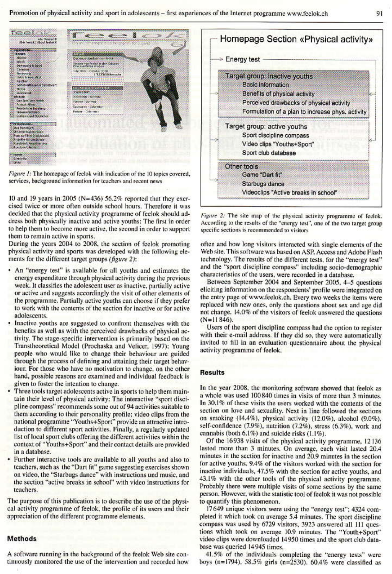

Figure 1: The homepage of feelok with indication of the 10 topics covered, services, background information for teachers and recent news

10 and 19 years in 2005 ( $N=436$ ) 56.2% reported that they exercised twice or more often outside school hours. Therefore it was decided that the physical activity programme of feelok should address both physically inactive and active youths: The first in order to help them to become more active, the second in order to support them to remain active in sports.

During the years 2004 to 2008, the section of feelok promoting physical activity and sports was developed with the following elements for the different target groups (figure 2):

- An "energy test" is available for all youths and estimates the energy expenditure through physical activity during the previous week. It classifies the adolescent user as inactive, partially active or active and suggests accordingly the visit of other elements of the programme. Partially active youths can choose if they prefer to work with the contents of the section for inactive or for active adolescents.
- Inactive youths are suggested to confront themselves with the benefits as well as with the perceived drawbacks of physical activity. The stage-specific intervention is primarily based on the Transtheoretical Model (Prochaska and Velicer, 1997); Young people who would like to change their behaviour are guided through the process of defining and attaining their target behavjour. For those who have no motivation to change, on the other hand, possible reasons are examined and individual feedback is given to foster the intention to change.
- Three tools target adolescents active in sports to help them maintain their level of physical activity: The interactive "sport discipline compass" recommends some out of 94 activities suitable to them according to their personality profile; video clips from the national programme "Youths+Sport" provide an attractive introduction to different sport activities. Finally, a regularly updated list of local sport clubs offering the different activities within the context of "Youths+Sport" and their contact details are provided in a database.
- Further interactive tools are available to all youths and also to teachers, such as the "Dart fit" game suggesting exercises shown<br>on video, the "Starbugs dance" with instructions und music, and the section "active breaks in school" with video instructions for teachers.

The purpose of this publication is to describe the use of the physical activity programme of feelok, the profile of its users and their appreciation of the different programme elements.

### **Methods**

A software running in the background of the feelok Web site continuously monitored the use of the intervention and recorded how



Figure 2: The site map of the physical activity programme of feelok. According to the results of the "energy test", one of the two target group specific sections is recommended to visitors

often and how long visitors interacted with single elements of the Web site. This software was based on ASP, Access and Adobe Flash technology. The results of the different tests, for the "energy test" and the "sport discipline compass" including socio-demographic characteristics of the users, were recorded in a database.

Between September 2004 and September 2005, 4-5 questions eliciting information on the respondents' profile were integrated on the entry page of www.feelok.ch. Every two weeks the items were replaced with new ones, only the questions about sex and age did not change. 14.0% of the visitors of feelok answered the questions  $(N=11846)$ .

Users of the sport discipline compass had the option to register with their e-mail address. If they did so, they were automatically invited to fill in an evaluation questionnaire about the physical activity programme of feelok.

## **Results**

In the year 2008, the monitoring software showed that feelok as a whole was used 100840 times in visits of more than 3 minutes. In 30.1% of these visits the users worked with the contents of the section on love and sexuality. Next in line followed the sections on smoking (14.4%), physical activity (12.0%), alcohol (9.0%), self-confidence (7.9%), nutrition (7.2%), stress (6.3%), work and cannabis (both 6.1%) and suicide risks (1.1%).

Of the 16938 visits of the physical activity programme, 12136 lasted more than 3 minutes. On average, each visit lasted 20.4 minutes in the section for inactive and 20.9 minutes in the section for active youths. 9.4% of the visitors worked with the section for inactive individuals, 47.5% with the section for active youths, and 43.1% with the other tools of the physical activity programme. Probably there were multiple visits of some sections by the same person. However, with the statistic tool of feelok it was not possible to quantify this phenomenon.

17649 unique visitors were using the "energy test"; 4324 completed it which took on average 5.4 minutes. The sport discipline compass was used by 6729 visitors, 3923 answered all 111 questions which took on average 10.9 minutes. The "Youth+Sport" video clips were downloaded 14950 times and the sport club database was queried 14945 times.

41.5% of the individuals completing the "energy tests" were boys (n=1794), 58.5% girls (n=2530). 60.4% were classified as